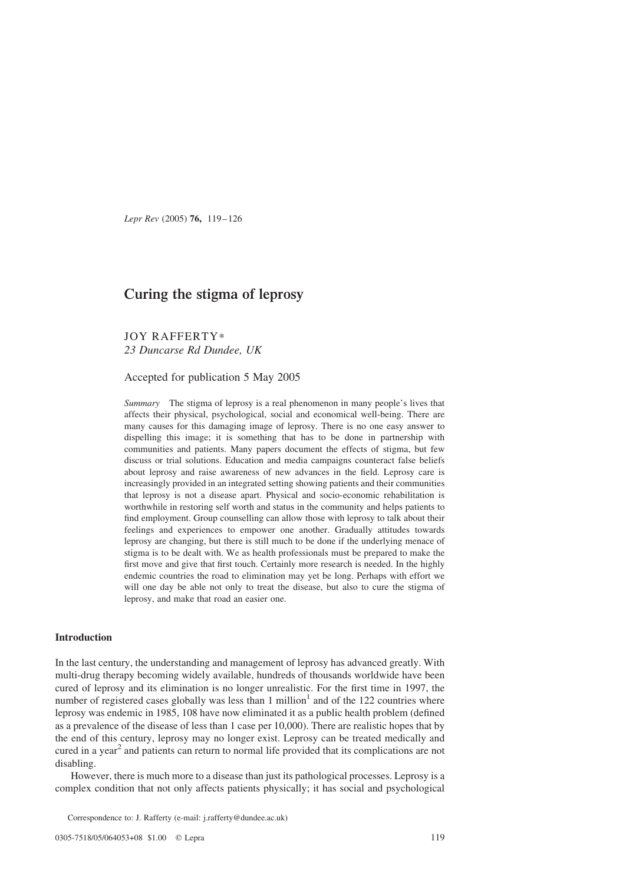Lepr Rev (2005) 76, 119–126

# Curing the stigma of leprosy

JOY RAFFERTY\* 23 Duncarse Rd Dundee, UK

Accepted for publication 5 May 2005

Summary The stigma of leprosy is a real phenomenon in many people's lives that affects their physical, psychological, social and economical well-being. There are many causes for this damaging image of leprosy. There is no one easy answer to dispelling this image; it is something that has to be done in partnership with communities and patients. Many papers document the effects of stigma, but few discuss or trial solutions. Education and media campaigns counteract false beliefs about leprosy and raise awareness of new advances in the field. Leprosy care is increasingly provided in an integrated setting showing patients and their communities that leprosy is not a disease apart. Physical and socio-economic rehabilitation is worthwhile in restoring self worth and status in the community and helps patients to find employment. Group counselling can allow those with leprosy to talk about their feelings and experiences to empower one another. Gradually attitudes towards leprosy are changing, but there is still much to be done if the underlying menace of stigma is to be dealt with. We as health professionals must be prepared to make the first move and give that first touch. Certainly more research is needed. In the highly endemic countries the road to elimination may yet be long. Perhaps with effort we will one day be able not only to treat the disease, but also to cure the stigma of leprosy, and make that road an easier one.

# Introduction

In the last century, the understanding and management of leprosy has advanced greatly. With multi-drug therapy becoming widely available, hundreds of thousands worldwide have been cured of leprosy and its elimination is no longer unrealistic. For the first time in 1997, the number of registered cases globally was less than  $1$  million<sup>1</sup> and of the 122 countries where leprosy was endemic in 1985, 108 have now eliminated it as a public health problem (defined as a prevalence of the disease of less than 1 case per 10,000). There are realistic hopes that by the end of this century, leprosy may no longer exist. Leprosy can be treated medically and cured in a year<sup>[2](#page-6-0)</sup> and patients can return to normal life provided that its complications are not disabling.

However, there is much more to a disease than just its pathological processes. Leprosy is a complex condition that not only affects patients physically; it has social and psychological

Correspondence to: J. Rafferty (e-mail: j.rafferty@dundee.ac.uk)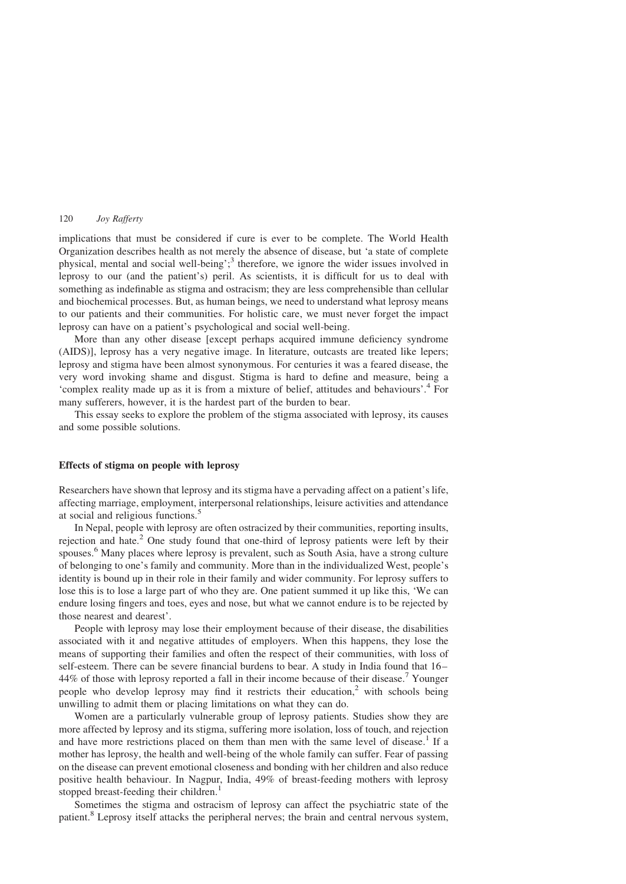implications that must be considered if cure is ever to be complete. The World Health Organization describes health as not merely the absence of disease, but 'a state of complete physical, mental and social well-being';<sup>3</sup> therefore, we ignore the wider issues involved in leprosy to our (and the patient's) peril. As scientists, it is difficult for us to deal with something as indefinable as stigma and ostracism; they are less comprehensible than cellular and biochemical processes. But, as human beings, we need to understand what leprosy means to our patients and their communities. For holistic care, we must never forget the impact leprosy can have on a patient's psychological and social well-being.

More than any other disease [except perhaps acquired immune deficiency syndrome (AIDS)], leprosy has a very negative image. In literature, outcasts are treated like lepers; leprosy and stigma have been almost synonymous. For centuries it was a feared disease, the very word invoking shame and disgust. Stigma is hard to define and measure, being a 'complex reality made up as it is from a mixture of belief, attitudes and behaviours'.[4](#page-6-0) For many sufferers, however, it is the hardest part of the burden to bear.

This essay seeks to explore the problem of the stigma associated with leprosy, its causes and some possible solutions.

#### Effects of stigma on people with leprosy

Researchers have shown that leprosy and its stigma have a pervading affect on a patient's life, affecting marriage, employment, interpersonal relationships, leisure activities and attendance at social and religious functions.[5](#page-6-0)

In Nepal, people with leprosy are often ostracized by their communities, reporting insults, rejection and hate.<sup>[2](#page-6-0)</sup> One study found that one-third of leprosy patients were left by their spouses.<sup>[6](#page-6-0)</sup> Many places where leprosy is prevalent, such as South Asia, have a strong culture of belonging to one's family and community. More than in the individualized West, people's identity is bound up in their role in their family and wider community. For leprosy suffers to lose this is to lose a large part of who they are. One patient summed it up like this, 'We can endure losing fingers and toes, eyes and nose, but what we cannot endure is to be rejected by those nearest and dearest'.

People with leprosy may lose their employment because of their disease, the disabilities associated with it and negative attitudes of employers. When this happens, they lose the means of supporting their families and often the respect of their communities, with loss of self-esteem. There can be severe financial burdens to bear. A study in India found that 16– 44% of those with leprosy reported a fall in their income because of their disease.<sup>[7](#page-6-0)</sup> Younger people who develop leprosy may find it restricts their education, $2$  with schools being unwilling to admit them or placing limitations on what they can do.

Women are a particularly vulnerable group of leprosy patients. Studies show they are more affected by leprosy and its stigma, suffering more isolation, loss of touch, and rejection and have more restrictions placed on them than men with the same level of disease.<sup>[1](#page-6-0)</sup> If a mother has leprosy, the health and well-being of the whole family can suffer. Fear of passing on the disease can prevent emotional closeness and bonding with her children and also reduce positive health behaviour. In Nagpur, India, 49% of breast-feeding mothers with leprosy stopped breast-feeding their children.<sup>[1](#page-6-0)</sup>

Sometimes the stigma and ostracism of leprosy can affect the psychiatric state of the patient.<sup>[8](#page-6-0)</sup> Leprosy itself attacks the peripheral nerves; the brain and central nervous system,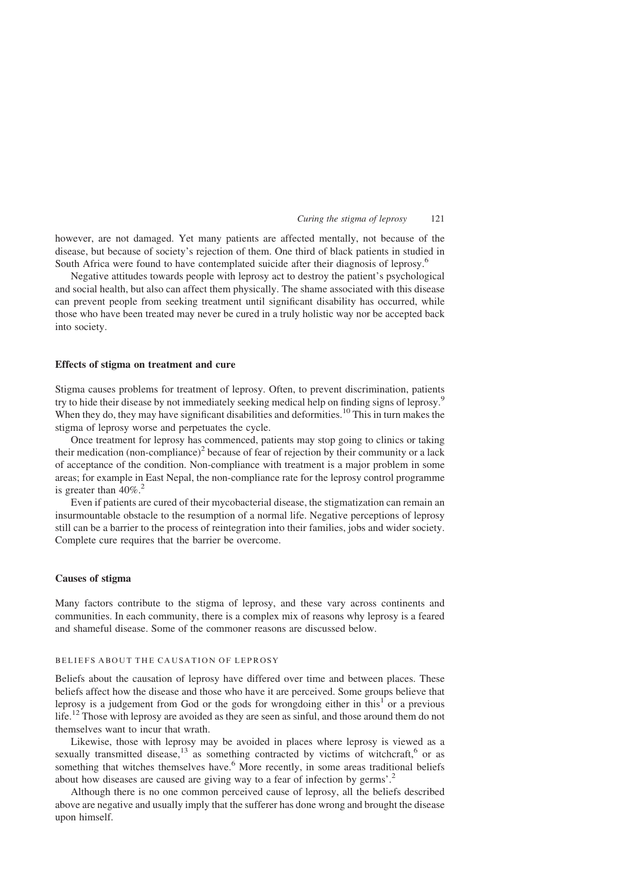#### Curing the stigma of leprosy 121

however, are not damaged. Yet many patients are affected mentally, not because of the disease, but because of society's rejection of them. One third of black patients in studied in South Africa were found to have contemplated suicide after their diagnosis of leprosy.[6](#page-6-0)

Negative attitudes towards people with leprosy act to destroy the patient's psychological and social health, but also can affect them physically. The shame associated with this disease can prevent people from seeking treatment until significant disability has occurred, while those who have been treated may never be cured in a truly holistic way nor be accepted back into society.

#### Effects of stigma on treatment and cure

Stigma causes problems for treatment of leprosy. Often, to prevent discrimination, patients try to hide their disease by not immediately seeking medical help on finding signs of leprosy.<sup>[9](#page-7-0)</sup> When they do, they may have significant disabilities and deformities.<sup>[10](#page-7-0)</sup> This in turn makes the stigma of leprosy worse and perpetuates the cycle.

Once treatment for leprosy has commenced, patients may stop going to clinics or taking their medication (non-compliance)<sup>[2](#page-6-0)</sup> because of fear of rejection by their community or a lack of acceptance of the condition. Non-compliance with treatment is a major problem in some areas; for example in East Nepal, the non-compliance rate for the leprosy control programme is greater than  $40\%$ <sup>[2](#page-6-0)</sup>.

Even if patients are cured of their mycobacterial disease, the stigmatization can remain an insurmountable obstacle to the resumption of a normal life. Negative perceptions of leprosy still can be a barrier to the process of reintegration into their families, jobs and wider society. Complete cure requires that the barrier be overcome.

# Causes of stigma

Many factors contribute to the stigma of leprosy, and these vary across continents and communities. In each community, there is a complex mix of reasons why leprosy is a feared and shameful disease. Some of the commoner reasons are discussed below.

# BELIEFS ABOUT THE CAUSATION OF LEPROSY

Beliefs about the causation of leprosy have differed over time and between places. These beliefs affect how the disease and those who have it are perceived. Some groups believe that leprosy is a judgement from God or the gods for wrongdoing either in this<sup>[1](#page-6-0)</sup> or a previous life.[12](#page-7-0) Those with leprosy are avoided as they are seen as sinful, and those around them do not themselves want to incur that wrath.

Likewise, those with leprosy may be avoided in places where leprosy is viewed as a sexually transmitted disease, $13$  as something contracted by victims of witchcraft,<sup>[6](#page-6-0)</sup> or as something that witches themselves have.<sup>[6](#page-6-0)</sup> More recently, in some areas traditional beliefs about how diseases are caused are giving way to a fear of infection by germs'.[2](#page-6-0)

Although there is no one common perceived cause of leprosy, all the beliefs described above are negative and usually imply that the sufferer has done wrong and brought the disease upon himself.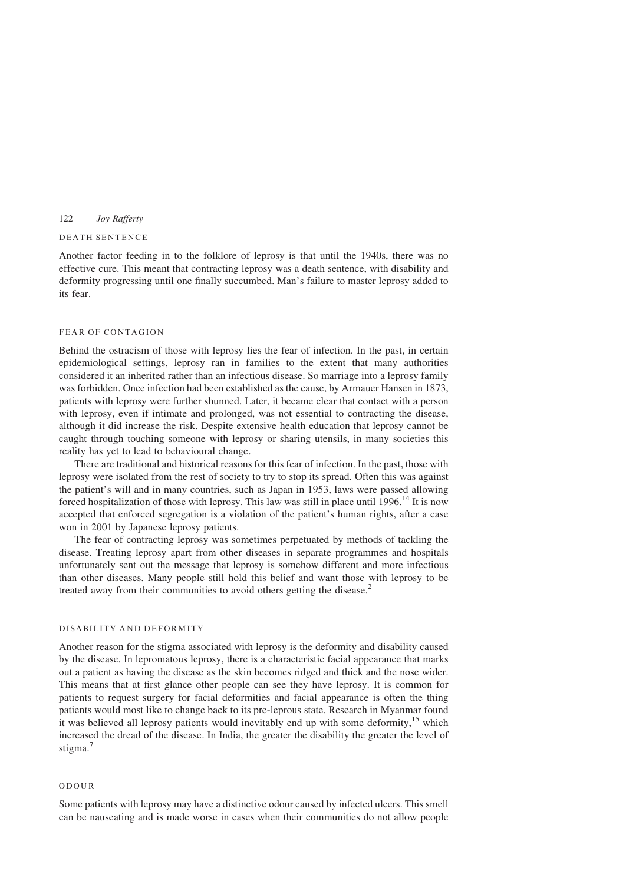#### DEATH SENTENCE

Another factor feeding in to the folklore of leprosy is that until the 1940s, there was no effective cure. This meant that contracting leprosy was a death sentence, with disability and deformity progressing until one finally succumbed. Man's failure to master leprosy added to its fear.

#### FEAR OF CONTAGION

Behind the ostracism of those with leprosy lies the fear of infection. In the past, in certain epidemiological settings, leprosy ran in families to the extent that many authorities considered it an inherited rather than an infectious disease. So marriage into a leprosy family was forbidden. Once infection had been established as the cause, by Armauer Hansen in 1873, patients with leprosy were further shunned. Later, it became clear that contact with a person with leprosy, even if intimate and prolonged, was not essential to contracting the disease, although it did increase the risk. Despite extensive health education that leprosy cannot be caught through touching someone with leprosy or sharing utensils, in many societies this reality has yet to lead to behavioural change.

There are traditional and historical reasons for this fear of infection. In the past, those with leprosy were isolated from the rest of society to try to stop its spread. Often this was against the patient's will and in many countries, such as Japan in 1953, laws were passed allowing forced hospitalization of those with leprosy. This law was still in place until  $1996$ <sup>[14](#page-7-0)</sup> It is now accepted that enforced segregation is a violation of the patient's human rights, after a case won in 2001 by Japanese leprosy patients.

The fear of contracting leprosy was sometimes perpetuated by methods of tackling the disease. Treating leprosy apart from other diseases in separate programmes and hospitals unfortunately sent out the message that leprosy is somehow different and more infectious than other diseases. Many people still hold this belief and want those with leprosy to be treated away from their communities to avoid others getting the disease.<sup>[2](#page-6-0)</sup>

#### DISABILITY AND DEFORMITY

Another reason for the stigma associated with leprosy is the deformity and disability caused by the disease. In lepromatous leprosy, there is a characteristic facial appearance that marks out a patient as having the disease as the skin becomes ridged and thick and the nose wider. This means that at first glance other people can see they have leprosy. It is common for patients to request surgery for facial deformities and facial appearance is often the thing patients would most like to change back to its pre-leprous state. Research in Myanmar found it was believed all leprosy patients would inevitably end up with some deformity,<sup>[15](#page-7-0)</sup> which increased the dread of the disease. In India, the greater the disability the greater the level of stigma.<sup>[7](#page-6-0)</sup>

# ODOUR

Some patients with leprosy may have a distinctive odour caused by infected ulcers. This smell can be nauseating and is made worse in cases when their communities do not allow people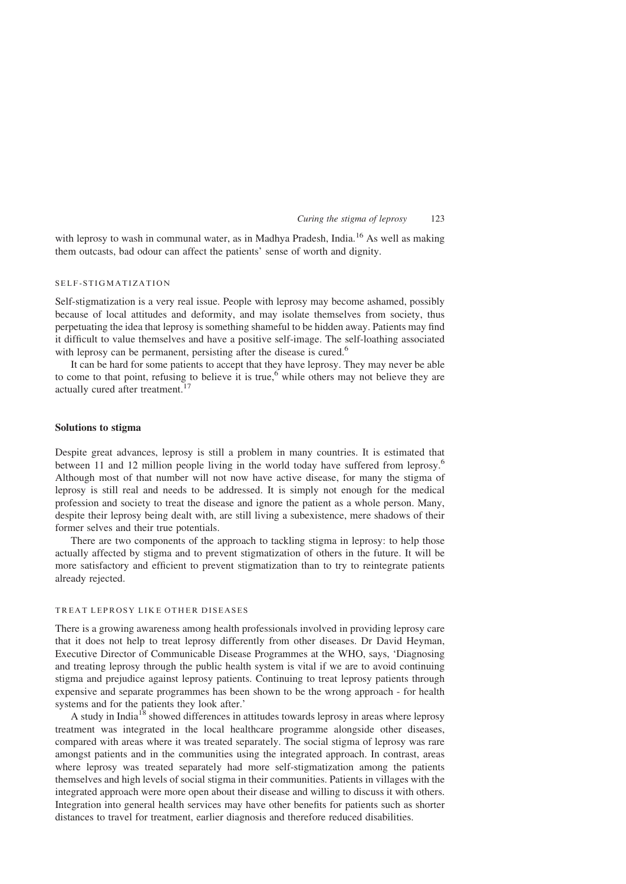#### Curing the stigma of leprosy 123

with leprosy to wash in communal water, as in Madhya Pradesh, India.<sup>[16](#page-7-0)</sup> As well as making them outcasts, bad odour can affect the patients' sense of worth and dignity.

# SELF-STIGMATIZATION

Self-stigmatization is a very real issue. People with leprosy may become ashamed, possibly because of local attitudes and deformity, and may isolate themselves from society, thus perpetuating the idea that leprosy is something shameful to be hidden away. Patients may find it difficult to value themselves and have a positive self-image. The self-loathing associated with leprosy can be permanent, persisting after the disease is cured.<sup>[6](#page-6-0)</sup>

It can be hard for some patients to accept that they have leprosy. They may never be able to come to that point, refusing to believe it is true,<sup>[6](#page-6-0)</sup> while others may not believe they are actually cured after treatment.<sup>1</sup>

# Solutions to stigma

Despite great advances, leprosy is still a problem in many countries. It is estimated that between 11 and 12 million people living in the world today have suffered from leprosy.<sup>[6](#page-6-0)</sup> Although most of that number will not now have active disease, for many the stigma of leprosy is still real and needs to be addressed. It is simply not enough for the medical profession and society to treat the disease and ignore the patient as a whole person. Many, despite their leprosy being dealt with, are still living a subexistence, mere shadows of their former selves and their true potentials.

There are two components of the approach to tackling stigma in leprosy: to help those actually affected by stigma and to prevent stigmatization of others in the future. It will be more satisfactory and efficient to prevent stigmatization than to try to reintegrate patients already rejected.

# TREAT LEPROSY LIKE OTHER DISEASES

There is a growing awareness among health professionals involved in providing leprosy care that it does not help to treat leprosy differently from other diseases. Dr David Heyman, Executive Director of Communicable Disease Programmes at the WHO, says, 'Diagnosing and treating leprosy through the public health system is vital if we are to avoid continuing stigma and prejudice against leprosy patients. Continuing to treat leprosy patients through expensive and separate programmes has been shown to be the wrong approach - for health systems and for the patients they look after.'

A study in India<sup>[18](#page-7-0)</sup> showed differences in attitudes towards leprosy in areas where leprosy treatment was integrated in the local healthcare programme alongside other diseases, compared with areas where it was treated separately. The social stigma of leprosy was rare amongst patients and in the communities using the integrated approach. In contrast, areas where leprosy was treated separately had more self-stigmatization among the patients themselves and high levels of social stigma in their communities. Patients in villages with the integrated approach were more open about their disease and willing to discuss it with others. Integration into general health services may have other benefits for patients such as shorter distances to travel for treatment, earlier diagnosis and therefore reduced disabilities.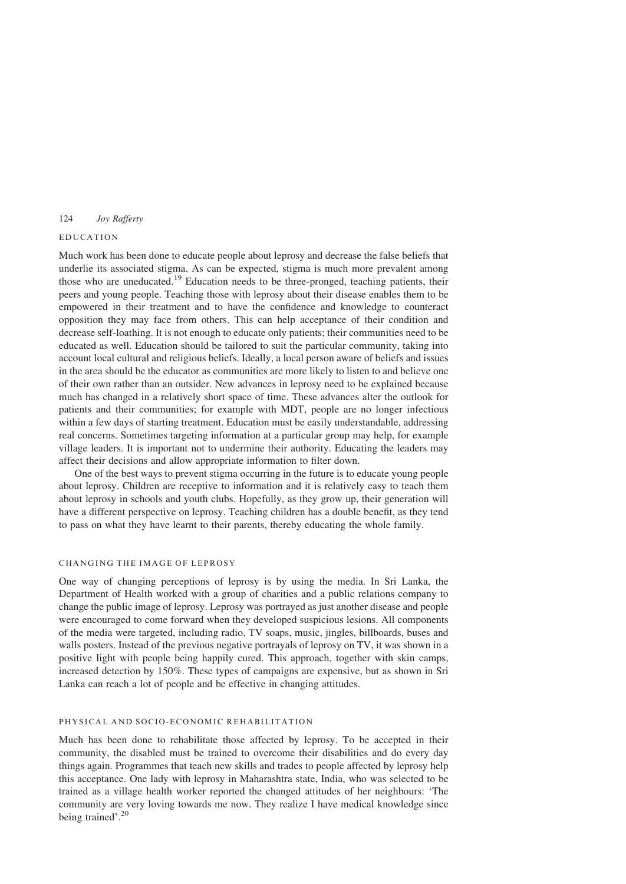# EDUCATION

Much work has been done to educate people about leprosy and decrease the false beliefs that underlie its associated stigma. As can be expected, stigma is much more prevalent among those who are uneducated.[19](#page-7-0) Education needs to be three-pronged, teaching patients, their peers and young people. Teaching those with leprosy about their disease enables them to be empowered in their treatment and to have the confidence and knowledge to counteract opposition they may face from others. This can help acceptance of their condition and decrease self-loathing. It is not enough to educate only patients; their communities need to be educated as well. Education should be tailored to suit the particular community, taking into account local cultural and religious beliefs. Ideally, a local person aware of beliefs and issues in the area should be the educator as communities are more likely to listen to and believe one of their own rather than an outsider. New advances in leprosy need to be explained because much has changed in a relatively short space of time. These advances alter the outlook for patients and their communities; for example with MDT, people are no longer infectious within a few days of starting treatment. Education must be easily understandable, addressing real concerns. Sometimes targeting information at a particular group may help, for example village leaders. It is important not to undermine their authority. Educating the leaders may affect their decisions and allow appropriate information to filter down.

One of the best ways to prevent stigma occurring in the future is to educate young people about leprosy. Children are receptive to information and it is relatively easy to teach them about leprosy in schools and youth clubs. Hopefully, as they grow up, their generation will have a different perspective on leprosy. Teaching children has a double benefit, as they tend to pass on what they have learnt to their parents, thereby educating the whole family.

# CHANGING THE IMAGE OF LEPROSY

One way of changing perceptions of leprosy is by using the media. In Sri Lanka, the Department of Health worked with a group of charities and a public relations company to change the public image of leprosy. Leprosy was portrayed as just another disease and people were encouraged to come forward when they developed suspicious lesions. All components of the media were targeted, including radio, TV soaps, music, jingles, billboards, buses and walls posters. Instead of the previous negative portrayals of leprosy on TV, it was shown in a positive light with people being happily cured. This approach, together with skin camps, increased detection by 150%. These types of campaigns are expensive, but as shown in Sri Lanka can reach a lot of people and be effective in changing attitudes.

# PHYSICAL AND SOCIO-ECONOMIC REHABILITATION

Much has been done to rehabilitate those affected by leprosy. To be accepted in their community, the disabled must be trained to overcome their disabilities and do every day things again. Programmes that teach new skills and trades to people affected by leprosy help this acceptance. One lady with leprosy in Maharashtra state, India, who was selected to be trained as a village health worker reported the changed attitudes of her neighbours: 'The community are very loving towards me now. They realize I have medical knowledge since being trained'.<sup>[20](#page-7-0)</sup>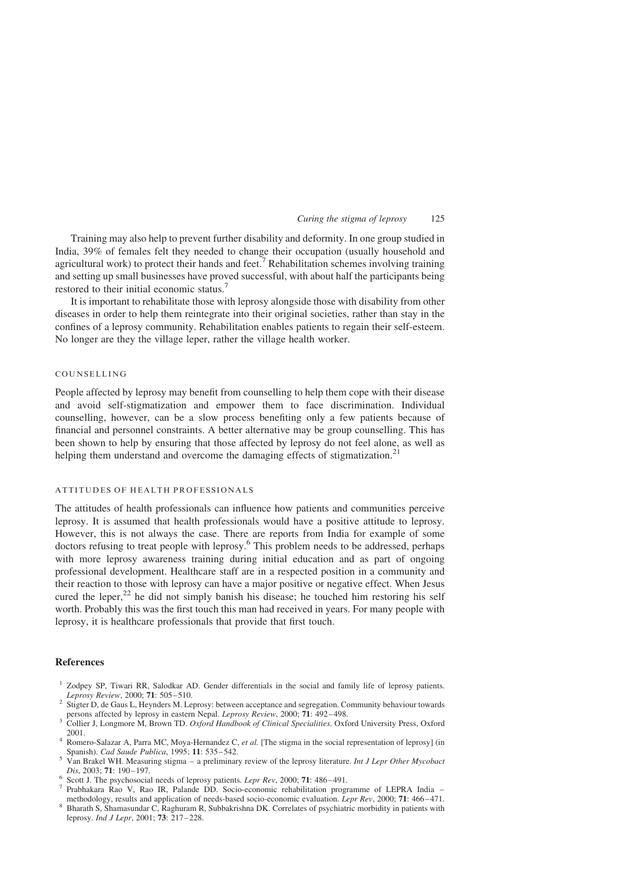#### Curing the stigma of leprosy 125

<span id="page-6-0"></span>Training may also help to prevent further disability and deformity. In one group studied in India, 39% of females felt they needed to change their occupation (usually household and agricultural work) to protect their hands and feet.<sup>7</sup> Rehabilitation schemes involving training and setting up small businesses have proved successful, with about half the participants being restored to their initial economic status.<sup>7</sup>

It is important to rehabilitate those with leprosy alongside those with disability from other diseases in order to help them reintegrate into their original societies, rather than stay in the confines of a leprosy community. Rehabilitation enables patients to regain their self-esteem. No longer are they the village leper, rather the village health worker.

# COUNSELLING

People affected by leprosy may benefit from counselling to help them cope with their disease and avoid self-stigmatization and empower them to face discrimination. Individual counselling, however, can be a slow process benefiting only a few patients because of financial and personnel constraints. A better alternative may be group counselling. This has been shown to help by ensuring that those affected by leprosy do not feel alone, as well as helping them understand and overcome the damaging effects of stigmatization.<sup>[21](#page-7-0)</sup>

#### ATTITUDES OF HEALTH PROFESSIONALS

The attitudes of health professionals can influence how patients and communities perceive leprosy. It is assumed that health professionals would have a positive attitude to leprosy. However, this is not always the case. There are reports from India for example of some doctors refusing to treat people with leprosy.<sup>6</sup> This problem needs to be addressed, perhaps with more leprosy awareness training during initial education and as part of ongoing professional development. Healthcare staff are in a respected position in a community and their reaction to those with leprosy can have a major positive or negative effect. When Jesus cured the leper,<sup>[22](#page-7-0)</sup> he did not simply banish his disease; he touched him restoring his self worth. Probably this was the first touch this man had received in years. For many people with leprosy, it is healthcare professionals that provide that first touch.

### References

- <sup>1</sup> Zodpey SP, Tiwari RR, Salodkar AD. Gender differentials in the social and family life of leprosy patients.<br>*Leprosy Review*, 2000; 71: 505–510.
- 2 Stigter D, de Gaus L, Heynders M. Leprosy: between acceptance and segregation. Community behaviour towards
- persons affected by leprosy in eastern Nepal. Leprosy Review, 2000; 71: 492–498.<br><sup>3</sup> Collier J, Longmore M, Brown TD. Oxford Handbook of Clinical Specialities. Oxford University Press, Oxford 2001.

- $\frac{5}{5}$  Van Brakel WH. Measuring stigma a preliminary review of the leprosy literature. Int J Lepr Other Mycobact
- 
- Dis, 2003; 71: 190–197.<br>
<sup>6</sup> Scott J. The psychosocial needs of leprosy patients. *Lepr Rev*, 2000; 71: 486–491.<br>
<sup>7</sup> Prabhakara Rao V, Rao IR, Palande DD. Socio-economic rehabilitation programme of LEPRA India methodol
- Bharath S, Shamasundar C, Raghuram R, Subbakrishna DK. Correlates of psychiatric morbidity in patients with leprosy. Ind J Lepr, 2001; 73: 217–228.

<sup>&</sup>lt;sup>4</sup> Romero-Salazar A, Parra MC, Moya-Hernandez C, *et al.* [The stigma in the social representation of leprosy] (in Spanish). *Cad Saude Publica*, 1995; **11**: 535–542.